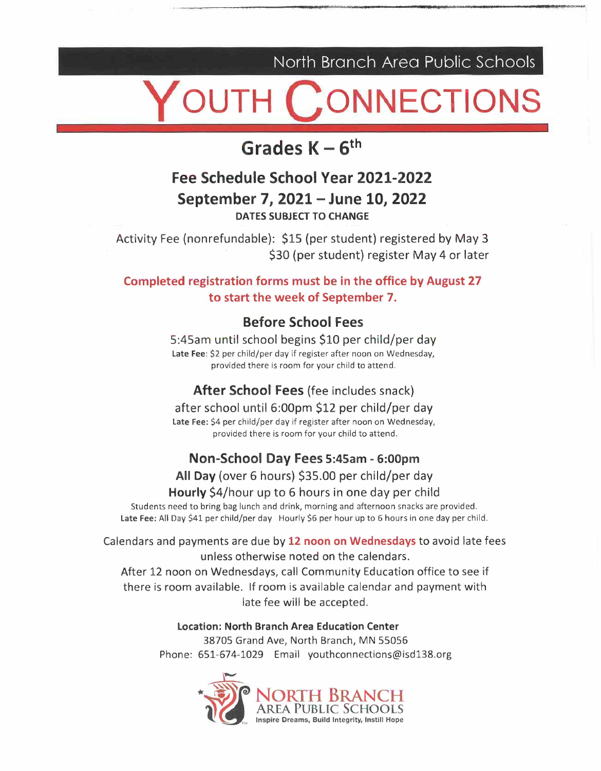North Branch Area Public Schools

### **ONNECTIONS**

### **Grades K –**  $6^{\text{th}}$

### **Fee Schedule School Year 2021-2022 September 7, 2021 - June 10, 2022 DATES SUBJECT TO CHANGE**

Activity Fee (nonrefundable): \$15 (per student) registered by May 3 \$30 (per student) register May 4 or later

#### **Completed registration forms must be in the office by August 27 to start the week of September 7.**

#### **Before School Fees**

5:45am until school begins \$10 per child/per day Late Fee: \$2 per child/per day if register after noon on Wednesday, provided there is room for your child to attend.

#### **After School Fees** (fee includes snack)

after school until 6:00pm \$12 per child/per day Late Fee: \$4 per child/per day if register after noon on Wednesday, provided there is room for your child to attend.

#### **Non-School Day Fees 5:45am - 6:00pm**

**All Day** (over 6 hours) \$35.00 per child/per day

#### **Hourly** \$4/hour up to 6 hours in one day per child

Students need to bring bag lunch and drink, morning and afternoon snacks are provided. Late Fee: All Day \$41 per child/per day Hourly \$6 per hour up to 6 hours in one day per child.

Calendars and payments are due by **12 noon on Wednesdays** to avoid late fees unless otherwise noted on the calendars.

After 12 noon on Wednesdays, call Community Education office to see if there is room available. If room is available calendar and payment with late fee will be accepted.

> **Location: North Branch Area Education Center**  38705 Grand Ave, North Branch, MN 55056 Phone: 651-674-1029 Email youthconnections@isd138.org

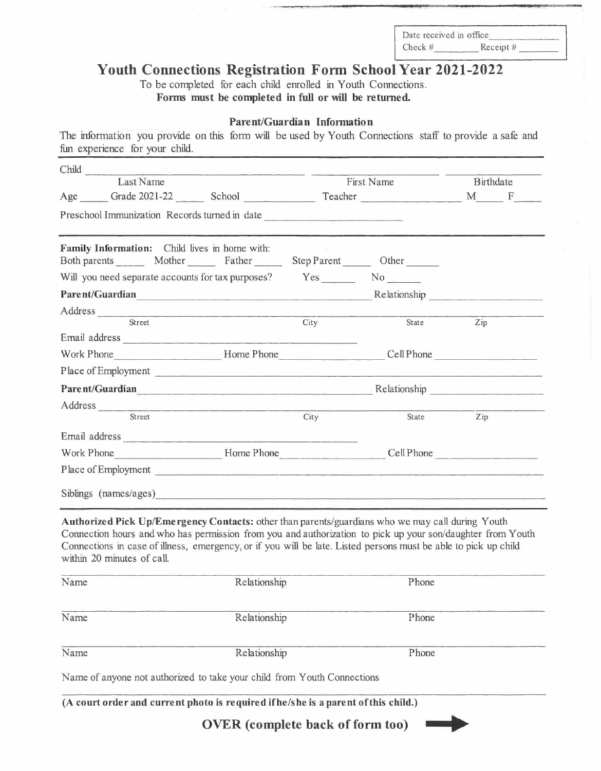### **Youth Connections Registration Form School Year 2021-2022**

#### **Parent/Guardian Information**

|                                                                                                                                                       |                                                                                                                                                                                                                                      | Date received in office                                                                                                               |           |
|-------------------------------------------------------------------------------------------------------------------------------------------------------|--------------------------------------------------------------------------------------------------------------------------------------------------------------------------------------------------------------------------------------|---------------------------------------------------------------------------------------------------------------------------------------|-----------|
|                                                                                                                                                       |                                                                                                                                                                                                                                      | Check #<br><b>Youth Connections Registration Form School Year 2021-2022</b>                                                           | Receipt # |
|                                                                                                                                                       |                                                                                                                                                                                                                                      | To be completed for each child enrolled in Youth Connections.<br>Forms must be completed in full or will be returned.                 |           |
|                                                                                                                                                       | Parent/Guardian Information                                                                                                                                                                                                          |                                                                                                                                       |           |
| The information you provide on this form will be used by Youth Connections staff to provide a safe and<br>fun experience for your child.              |                                                                                                                                                                                                                                      |                                                                                                                                       |           |
| Child<br>Last Name                                                                                                                                    |                                                                                                                                                                                                                                      | First Name                                                                                                                            | Birthdate |
| Age                                                                                                                                                   |                                                                                                                                                                                                                                      | Grade 2021-22 School Teacher                                                                                                          | M F       |
| Preschool Immunization Records turned in date                                                                                                         |                                                                                                                                                                                                                                      | <u> 1960 - John Stein, mars and de Britannie (b. 19</u>                                                                               |           |
| Family Information: Child lives in home with:<br>Both parents __________ Mother __________ Father ______________ Step Parent __________ Other _______ |                                                                                                                                                                                                                                      |                                                                                                                                       |           |
|                                                                                                                                                       |                                                                                                                                                                                                                                      |                                                                                                                                       |           |
| Parent/Guardian<br>Address                                                                                                                            |                                                                                                                                                                                                                                      | Relationship                                                                                                                          |           |
| Street                                                                                                                                                | City                                                                                                                                                                                                                                 | State                                                                                                                                 | Zip       |
| Email address<br>Work Phone                                                                                                                           | Home Phone                                                                                                                                                                                                                           | Cell Phone                                                                                                                            |           |
| Place of Employment<br>Parent/Guardian                                                                                                                |                                                                                                                                                                                                                                      | <u> 1989 - Jan Samuel Barbara, martin da shekara ta 1989 - An tsara tsara tsara tsara tsara tsara tsara tsara tsa</u><br>Relationship |           |
| Address                                                                                                                                               | <u> 1980 - Johann Harry Harry Harry Harry Harry Harry Harry Harry Harry Harry Harry Harry Harry Harry Harry Harry Harry Harry Harry Harry Harry Harry Harry Harry Harry Harry Harry Harry Harry Harry Harry Harry Harry Harry Ha</u> |                                                                                                                                       |           |
| Street<br>Email address                                                                                                                               | City                                                                                                                                                                                                                                 | State                                                                                                                                 | Zip       |
| Work Phone                                                                                                                                            | Home Phone                                                                                                                                                                                                                           | Cell Phone                                                                                                                            |           |
| Place of Employment<br>Siblings (names/ages)                                                                                                          |                                                                                                                                                                                                                                      | <u> 1999 - John Barn Barn, mars andre santa a strategi</u>                                                                            |           |
|                                                                                                                                                       |                                                                                                                                                                                                                                      |                                                                                                                                       |           |
| Authorized Pick Up/Emergency Contacts: other than parents/guardians who we may call during Youth                                                      |                                                                                                                                                                                                                                      | Connection hours and who has permission from you and authorization to pick up your son/daughter from Youth                            |           |
| Connections in case of illness, emergency, or if you will be late. Listed persons must be able to pick up child<br>within 20 minutes of call.         | Relationship                                                                                                                                                                                                                         | Phone                                                                                                                                 |           |
| Name                                                                                                                                                  |                                                                                                                                                                                                                                      |                                                                                                                                       |           |
| Name                                                                                                                                                  | Relationship                                                                                                                                                                                                                         | Phone                                                                                                                                 |           |
| Name                                                                                                                                                  | Relationship                                                                                                                                                                                                                         | Phone                                                                                                                                 |           |
| Name of anyone not authorized to take your child from Youth Connections                                                                               |                                                                                                                                                                                                                                      |                                                                                                                                       |           |
| (A court order and current photo is required if he/she is a parent of this child.)                                                                    |                                                                                                                                                                                                                                      |                                                                                                                                       |           |
|                                                                                                                                                       |                                                                                                                                                                                                                                      | <b>OVER</b> (complete back of form too)                                                                                               |           |
|                                                                                                                                                       |                                                                                                                                                                                                                                      |                                                                                                                                       |           |

| Name | Relationship                                                                       | Phone |  |
|------|------------------------------------------------------------------------------------|-------|--|
| Name | Relationship                                                                       | Phone |  |
| Name | Relationship                                                                       | Phone |  |
|      | Name of anyone not authorized to take your child from Youth Connections            |       |  |
|      | (A court order and current photo is required if he/she is a parent of this child.) |       |  |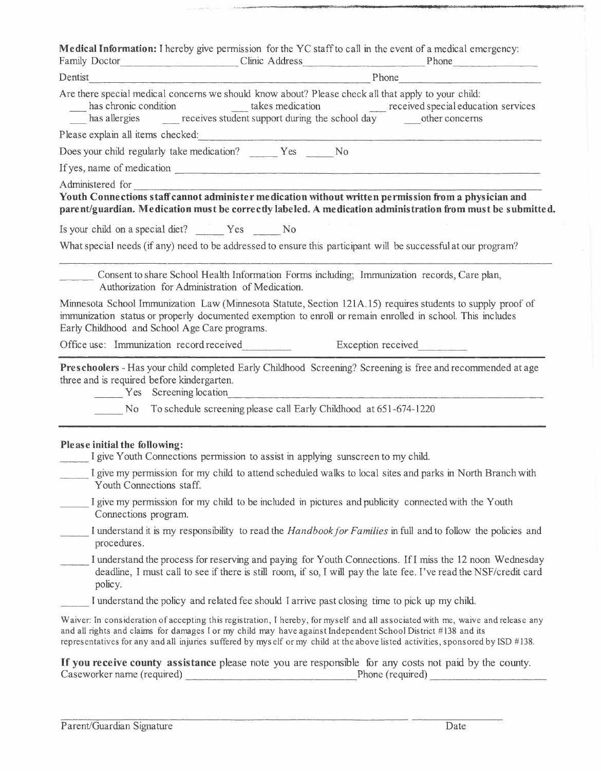| Please initial the following:<br>I give Youth Connections permission to assist in applying sunscreen to my child.                                                                                                                        |
|------------------------------------------------------------------------------------------------------------------------------------------------------------------------------------------------------------------------------------------|
|                                                                                                                                                                                                                                          |
|                                                                                                                                                                                                                                          |
| <b>Example 25 Yes</b> Screening location<br>the control of the control of the control of the control of the control of the control of<br>No To schedule screening please call Early Childhood at 651-674-1220                            |
| three and is required before kindergarten.                                                                                                                                                                                               |
| Preschoolers - Has your child completed Early Childhood Screening? Screening is free and recommended at age                                                                                                                              |
| Early Childhood and School Age Care programs.<br>Office use: Immunization record received<br>Exception received                                                                                                                          |
| Minnesota School Immunization Law (Minnesota Statute, Section 121A.15) requires students to supply proof of<br>immunization status or properly documented exemption to enroll or remain enrolled in school. This includes                |
| Consent to share School Health Information Forms including; Immunization records, Care plan,<br>Authorization for Administration of Medication.                                                                                          |
| What special needs (if any) need to be addressed to ensure this participant will be successful at our program?                                                                                                                           |
| Is your child on a special diet?    Yes    No                                                                                                                                                                                            |
|                                                                                                                                                                                                                                          |
| Youth Connections staff cannot administer medication without written permission from a physician and<br>parent/guardian. Medication must be correctly labeled. A medication administration from must be submitted.                       |
| Administered for the contract of the contract of the contract of the contract of the contract of the contract of the contract of the contract of the contract of the contract of the contract of the contract of the contract            |
| If yes, name of medication                                                                                                                                                                                                               |
| Does your child regularly take medication? Yes No                                                                                                                                                                                        |
| Please explain all items checked: explain a checked:                                                                                                                                                                                     |
| has chronic condition<br>has allergies <u>receives</u> student support during the school day received special education services                                                                                                         |
| Are there special medical concerns we should know about? Please check all that apply to your child:                                                                                                                                      |
| Phone Phone Phone Phone Phone Phone Phone Phone Phone Phone Phone Phone Phone Phone Phone Phone Phone Phone Phone Phone Phone Phone Phone Phone Phone Phone Phone Phone Phone Phone Phone Phone Phone Phone Phone Phone Phone<br>Dentist |
| Medical Information: I hereby give permission for the YC staff to call in the event of a medical emergency:<br>Family Doctor Clinic Address Phone Phone                                                                                  |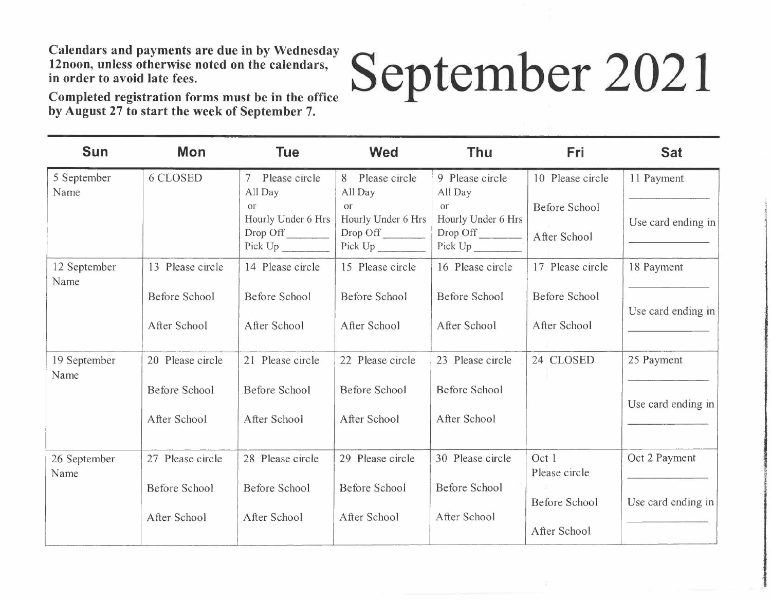# **September 2021**

**Completed registration forms must be in the office by August 27 to start the week of September 7.** 

| <b>Sun</b>           | <b>Mon</b>           | <b>Tue</b>                                        | <b>Wed</b>                                             | <b>Thu</b>                                      | Fri                                  | <b>Sat</b>         |
|----------------------|----------------------|---------------------------------------------------|--------------------------------------------------------|-------------------------------------------------|--------------------------------------|--------------------|
| 5 September<br>Name  | <b>6 CLOSED</b>      | Please circle<br>$\overline{7}$<br>All Day        | Please circle<br>8<br>All Day                          | 9 Please circle<br>All Day                      | 10 Please circle                     | 11 Payment         |
|                      |                      | Or <sup>-</sup><br>Hourly Under 6 Hrs<br>Drop Off | <b>or</b><br>Hourly Under 6 Hrs<br>Drop Off<br>Pick Up | or<br>Hourly Under 6 Hrs<br>Drop Off<br>Pick Up | <b>Before School</b><br>After School | Use card ending in |
| 12 September<br>Name | 13 Please circle     | 14 Please circle                                  | 15 Please circle                                       | 16 Please circle                                | 17 Please circle                     | 18 Payment         |
|                      | <b>Before School</b> | Before School                                     | Before School                                          | <b>Before School</b>                            | Before School                        | Use card ending in |
|                      | After School         | After School                                      | After School                                           | After School                                    | After School                         |                    |
| 19 September<br>Name | 20 Please circle     | 21 Please circle                                  | 22 Please circle                                       | 23 Please circle                                | 24 CLOSED                            | 25 Payment         |
|                      | <b>Before School</b> | Before School                                     | Before School                                          | <b>Before School</b>                            |                                      | Use card ending in |
|                      | After School         | After School                                      | After School                                           | After School                                    |                                      |                    |
| 26 September<br>Name | 27 Please circle     | 28 Please circle                                  | 29 Please circle                                       | 30 Please circle                                | Oct 1<br>Please circle               | Oct 2 Payment      |
|                      | <b>Before School</b> | <b>Before School</b>                              | <b>Before School</b>                                   | <b>Before School</b>                            | <b>Before School</b>                 | Use card ending in |
|                      | After School         | After School                                      | After School                                           | After School                                    | After School                         |                    |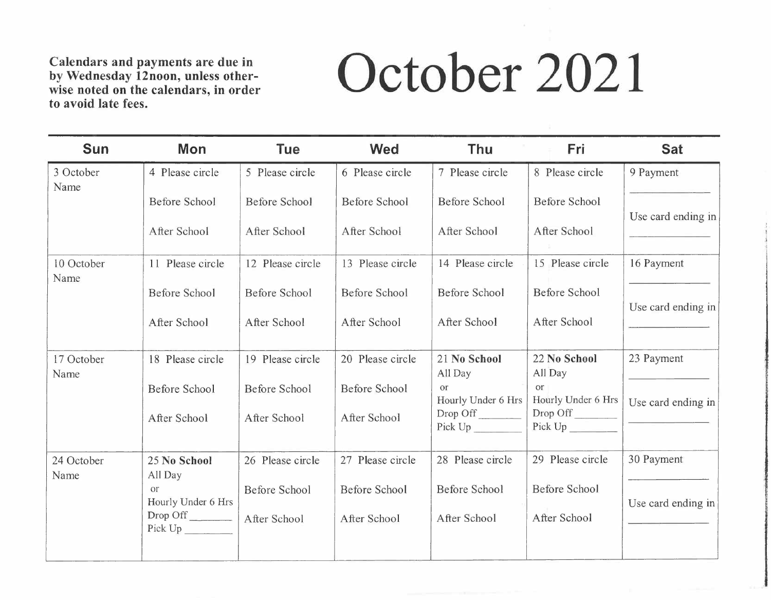### **to avoid late fees. October 2021**

| <b>Sun</b>         | Mon                             | <b>Tue</b>           | <b>Wed</b>           | <b>Thu</b>                     | Fri                             | <b>Sat</b>                                         |
|--------------------|---------------------------------|----------------------|----------------------|--------------------------------|---------------------------------|----------------------------------------------------|
| 3 October<br>Name  | 4 Please circle                 | 5 Please circle      | 6 Please circle      | 7 Please circle                | 8 Please circle                 | 9 Payment                                          |
|                    | Before School                   | <b>Before School</b> | <b>Before School</b> | <b>Before School</b>           | <b>Before School</b>            |                                                    |
|                    | After School                    | After School         | After School         | After School                   | After School                    | Use card ending in<br>The company of the company's |
| 10 October<br>Name | 11 Please circle                | 12 Please circle     | 13 Please circle     | 14 Please circle               | 15 Please circle                | 16 Payment                                         |
|                    | <b>Before School</b>            | <b>Before School</b> | <b>Before School</b> | Before School                  | <b>Before School</b>            | Use card ending in                                 |
|                    | After School                    | After School         | After School         | After School                   | After School                    |                                                    |
| 17 October<br>Name | 18 Please circle                | 19 Please circle     | 20 Please circle     | 21 No School<br>All Day        | 22 No School<br>All Day         | 23 Payment                                         |
|                    | <b>Before School</b>            | <b>Before School</b> | <b>Before School</b> | $\alpha$<br>Hourly Under 6 Hrs | <b>or</b><br>Hourly Under 6 Hrs | Use card ending in                                 |
|                    | After School                    | After School         | After School         | Drop Off<br>Pick Up            | Drop Off                        |                                                    |
| 24 October<br>Name | 25 No School<br>All Day         | 26 Please circle     | 27 Please circle     | 28 Please circle               | 29 Please circle                | 30 Payment                                         |
|                    | <b>or</b><br>Hourly Under 6 Hrs | <b>Before School</b> | <b>Before School</b> | <b>Before School</b>           | <b>Before School</b>            | Use card ending in                                 |
|                    | $Drop\;Off$<br>Pick Up          | After School         | After School         | After School                   | After School                    |                                                    |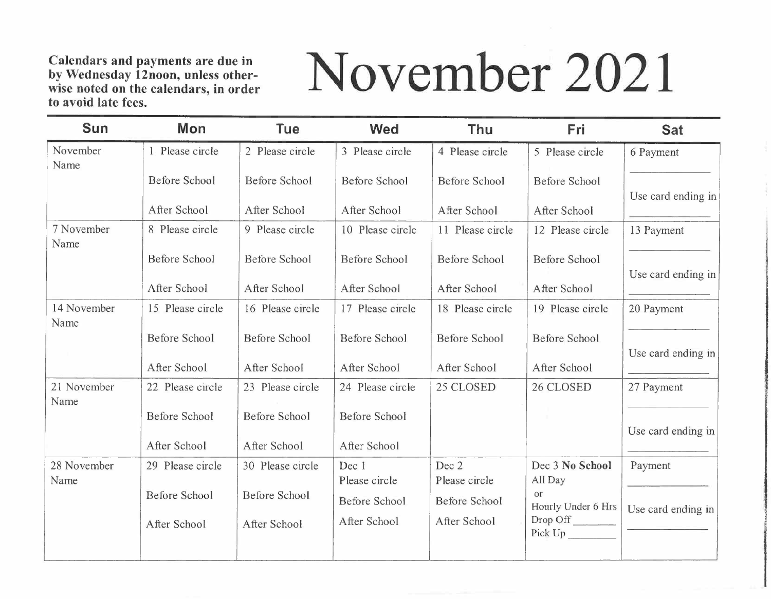### November 2021

| <b>Sun</b>          | <b>Mon</b>                           | <b>Tue</b>                           | <b>Wed</b>                           | Thu                           | Fri                                                    | <b>Sat</b>         |
|---------------------|--------------------------------------|--------------------------------------|--------------------------------------|-------------------------------|--------------------------------------------------------|--------------------|
| November<br>Name    | 1 Please circle                      | 2 Please circle                      | 3 Please circle                      | 4 Please circle               | 5 Please circle                                        | 6 Payment          |
|                     | <b>Before School</b>                 | <b>Before School</b>                 | <b>Before School</b>                 | <b>Before School</b>          | <b>Before School</b>                                   | Use card ending in |
|                     | After School                         | After School                         | After School                         | After School                  | After School                                           |                    |
| 7 November<br>Name  | 8 Please circle                      | 9 Please circle                      | 10 Please circle                     | 11 Please circle              | 12 Please circle                                       | 13 Payment         |
|                     | <b>Before School</b>                 | <b>Before School</b>                 | <b>Before School</b>                 | <b>Before School</b>          | Before School                                          | Use card ending in |
|                     | After School                         | After School                         | After School                         | After School                  | After School                                           |                    |
| 14 November<br>Name | 15 Please circle                     | 16 Please circle                     | 17 Please circle                     | 18 Please circle              | 19 Please circle                                       | 20 Payment         |
|                     | <b>Before School</b>                 | <b>Before School</b>                 | <b>Before School</b>                 | <b>Before School</b>          | <b>Before School</b>                                   | Use card ending in |
|                     | After School                         | After School                         | After School                         | After School                  | After School                                           |                    |
| 21 November<br>Name | 22 Please circle                     | 23 Please circle                     | 24 Please circle                     | 25 CLOSED                     | 26 CLOSED                                              | 27 Payment         |
|                     | <b>Before School</b>                 | <b>Before School</b>                 | <b>Before School</b>                 |                               |                                                        | Use card ending in |
|                     | After School                         | After School                         | After School                         |                               |                                                        |                    |
| 28 November<br>Name | 29 Please circle                     | 30 Please circle                     | Dec 1<br>Please circle               | Dec 2<br>Please circle        | Dec 3 No School<br>All Day                             | Payment            |
|                     | <b>Before School</b><br>After School | <b>Before School</b><br>After School | <b>Before School</b><br>After School | Before School<br>After School | <b>Or</b><br>Hourly Under 6 Hrs<br>Drop Off<br>Pick Up | Use card ending in |
|                     |                                      |                                      |                                      |                               |                                                        |                    |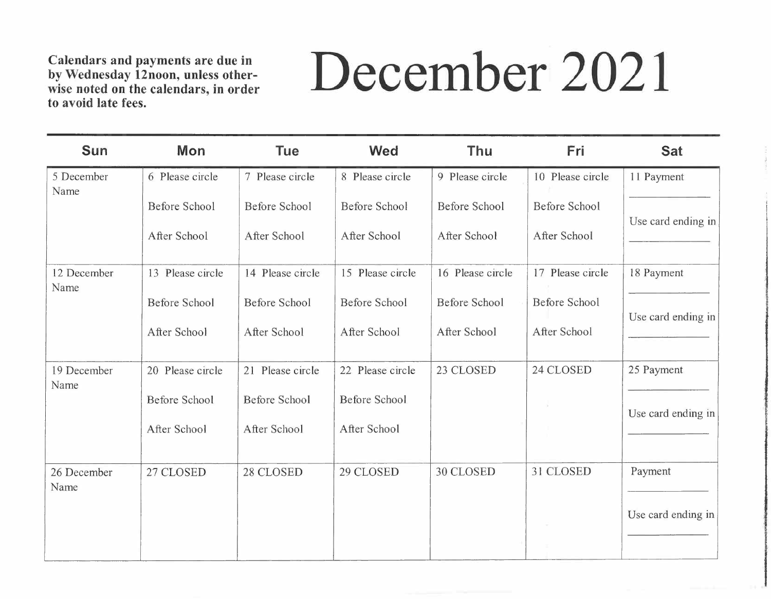### December 2021

| Sun                 | Mon                  | <b>Tue</b>           | <b>Wed</b>           | <b>Thu</b>           | Fri                  | <b>Sat</b>         |
|---------------------|----------------------|----------------------|----------------------|----------------------|----------------------|--------------------|
| 5 December<br>Name  | 6 Please circle      | 7 Please circle      | 8 Please circle      | 9 Please circle      | 10 Please circle     | 11 Payment         |
|                     | <b>Before School</b> | <b>Before School</b> | <b>Before School</b> | <b>Before School</b> | <b>Before School</b> | Use card ending in |
|                     | After School         | After School         | After School         | After School         | After School         |                    |
| 12 December<br>Name | 13 Please circle     | 14 Please circle     | 15 Please circle     | 16 Please circle     | 17 Please circle     | 18 Payment         |
|                     | <b>Before School</b> | <b>Before School</b> | <b>Before School</b> | <b>Before School</b> | <b>Before School</b> | Use card ending in |
|                     | After School         | After School         | After School         | After School         | After School         |                    |
| 19 December<br>Name | 20 Please circle     | 21 Please circle     | 22 Please circle     | 23 CLOSED            | 24 CLOSED            | 25 Payment         |
|                     | <b>Before School</b> | <b>Before School</b> | <b>Before School</b> |                      |                      | Use card ending in |
|                     | After School         | After School         | After School         |                      |                      |                    |
| 26 December<br>Name | 27 CLOSED            | 28 CLOSED            | 29 CLOSED            | 30 CLOSED            | 31 CLOSED            | Payment            |
|                     |                      |                      |                      |                      |                      | Use card ending in |
|                     |                      |                      |                      |                      |                      |                    |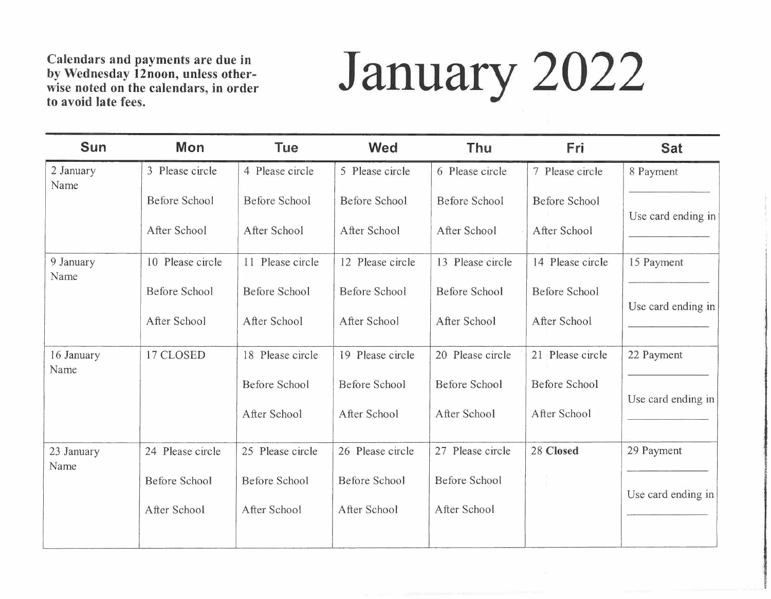# **January 2022**

| <b>Sun</b>         | <b>Mon</b>           | <b>Tue</b>           | <b>Wed</b>           | Thu                  | <b>Fri</b>           | <b>Sat</b>         |
|--------------------|----------------------|----------------------|----------------------|----------------------|----------------------|--------------------|
| 2 January<br>Name  | 3 Please circle      | 4 Please circle      | 5 Please circle      | 6 Please circle      | 7 Please circle      | 8 Payment          |
|                    | <b>Before School</b> | Before School        | Before School        | Before School        | Before School        | Use card ending in |
|                    | After School         | After School         | After School         | After School         | After School         |                    |
| 9 January<br>Name  | 10 Please circle     | 11 Please circle     | 12 Please circle     | 13 Please circle     | 14 Please circle     | 15 Payment         |
|                    | <b>Before School</b> | <b>Before School</b> | <b>Before School</b> | <b>Before School</b> | <b>Before School</b> | Use card ending in |
|                    | After School         | After School         | After School         | After School         | After School         |                    |
| 16 January<br>Name | 17 CLOSED            | 18 Please circle     | 19 Please circle     | 20 Please circle     | 21 Please circle     | 22 Payment         |
|                    |                      | <b>Before School</b> | <b>Before School</b> | <b>Before School</b> | <b>Before School</b> | Use card ending in |
|                    |                      | After School         | After School         | After School         | After School         |                    |
| 23 January<br>Name | 24 Please circle     | 25 Please circle     | 26 Please circle     | 27 Please circle     | 28 Closed            | 29 Payment         |
|                    | <b>Before School</b> | <b>Before School</b> | <b>Before School</b> | <b>Before School</b> |                      | Use card ending in |
|                    | After School         | After School         | After School         | After School         |                      |                    |
|                    |                      |                      |                      |                      |                      |                    |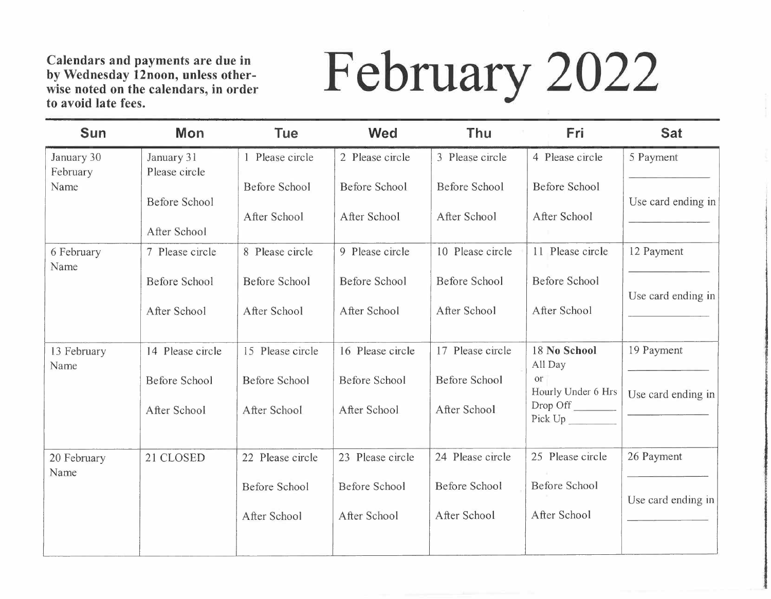# **February 2022**

| <b>Sun</b>             | Mon                         | <b>Tue</b>                    | <b>Wed</b>                    | Thu                                  | Fri                             | <b>Sat</b>         |
|------------------------|-----------------------------|-------------------------------|-------------------------------|--------------------------------------|---------------------------------|--------------------|
| January 30<br>February | January 31<br>Please circle | Please circle                 | 2 Please circle               | 3 Please circle                      | 4 Please circle                 | 5 Payment          |
| Name                   | <b>Before School</b>        | Before School<br>After School | Before School<br>After School | <b>Before School</b><br>After School | Before School<br>After School   | Use card ending in |
|                        | After School                |                               |                               |                                      |                                 |                    |
| 6 February<br>Name     | 7 Please circle             | 8 Please circle               | 9 Please circle               | 10 Please circle                     | 11 Please circle                | 12 Payment         |
|                        | Before School               | <b>Before School</b>          | <b>Before School</b>          | Before School                        | <b>Before School</b>            | Use card ending in |
|                        | After School                | After School                  | After School                  | After School                         | After School                    |                    |
| 13 February<br>Name    | 14 Please circle            | 15 Please circle              | 16 Please circle              | 17 Please circle                     | 18 No School<br>All Day         | 19 Payment         |
|                        | <b>Before School</b>        | <b>Before School</b>          | <b>Before School</b>          | <b>Before School</b>                 | <b>or</b><br>Hourly Under 6 Hrs | Use card ending in |
|                        | After School                | After School                  | After School                  | After School                         | Drop Off                        |                    |
| 20 February<br>Name    | 21 CLOSED                   | 22 Please circle              | 23 Please circle              | 24 Please circle                     | 25 Please circle                | 26 Payment         |
|                        |                             | <b>Before School</b>          | <b>Before School</b>          | Before School                        | <b>Before School</b>            | Use card ending in |
|                        |                             | After School                  | After School                  | After School                         | After School                    |                    |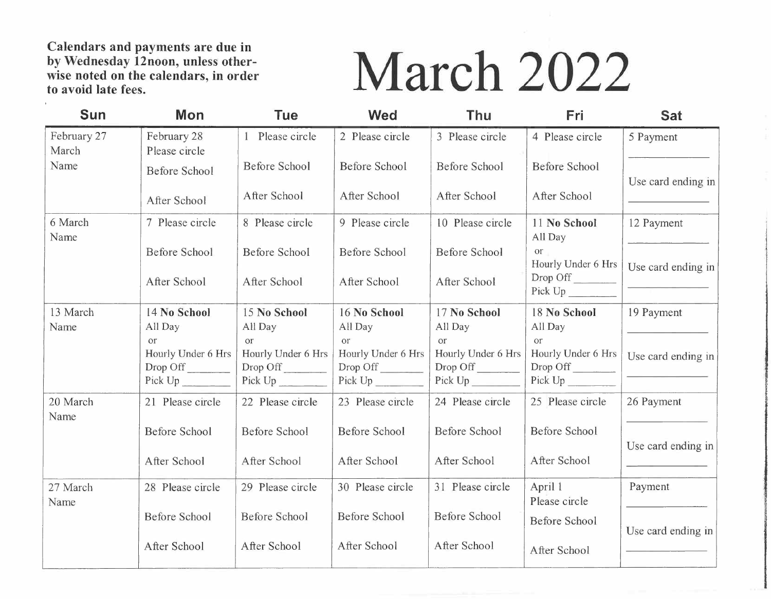# **March 2022**

| Sun                  | Mon                                                    | <b>Tue</b>                                      | <b>Wed</b>                                  | Thu                                  | Fri                                         | <b>Sat</b>                                                                                                                                                                                                                           |
|----------------------|--------------------------------------------------------|-------------------------------------------------|---------------------------------------------|--------------------------------------|---------------------------------------------|--------------------------------------------------------------------------------------------------------------------------------------------------------------------------------------------------------------------------------------|
| February 27<br>March | February 28<br>Please circle                           | Please circle                                   | 2 Please circle                             | 3 Please circle                      | 4 Please circle                             | 5 Payment                                                                                                                                                                                                                            |
| Name                 | <b>Before School</b>                                   | <b>Before School</b>                            | <b>Before School</b>                        | Before School                        | <b>Before School</b>                        | Use card ending in                                                                                                                                                                                                                   |
|                      | After School                                           | After School                                    | After School                                | After School                         | After School                                | <u> Liste de la contrata de la contrata de la con</u>                                                                                                                                                                                |
| 6 March<br>Name      | 7 Please circle                                        | 8 Please circle                                 | 9 Please circle                             | 10 Please circle                     | 11 No School<br>All Day                     | 12 Payment                                                                                                                                                                                                                           |
|                      | Before School                                          | <b>Before School</b>                            | <b>Before School</b>                        | <b>Before School</b>                 | <b>or</b><br>Hourly Under 6 Hrs             | Use card ending in                                                                                                                                                                                                                   |
|                      | After School                                           | After School                                    | After School                                | After School                         | Drop Off<br>Pick Up                         | <u> 1989 - Johann Harry Harry Harry Harry Harry Harry Harry Harry Harry Harry Harry Harry Harry Harry Harry Harry Harry Harry Harry Harry Harry Harry Harry Harry Harry Harry Harry Harry Harry Harry Harry Harry Harry Harry Ha</u> |
| 13 March<br>Name     | 14 No School<br>All Day                                | 15 No School<br>All Day                         | 16 No School<br>All Day                     | 17 No School<br>All Day              | 18 No School<br>All Day                     | 19 Payment                                                                                                                                                                                                                           |
|                      | <b>or</b><br>Hourly Under 6 Hrs<br>Drop Off<br>Pick Up | or<br>Hourly Under 6 Hrs<br>Drop Off<br>Pick Up | <b>Or</b><br>Hourly Under 6 Hrs<br>Drop Off | or<br>Hourly Under 6 Hrs<br>Drop Off | <b>or</b><br>Hourly Under 6 Hrs<br>Drop Off | Use card ending in                                                                                                                                                                                                                   |
| 20 March<br>Name     | 21 Please circle                                       | 22 Please circle                                | 23 Please circle                            | 24 Please circle                     | 25 Please circle                            | 26 Payment                                                                                                                                                                                                                           |
|                      | <b>Before School</b>                                   | <b>Before School</b>                            | <b>Before School</b>                        | <b>Before School</b>                 | <b>Before School</b>                        | Use card ending in                                                                                                                                                                                                                   |
|                      | After School                                           | After School                                    | After School                                | After School                         | After School                                |                                                                                                                                                                                                                                      |
| 27 March<br>Name     | 28 Please circle                                       | 29 Please circle                                | 30 Please circle                            | 31 Please circle                     | April 1<br>Please circle                    | Payment                                                                                                                                                                                                                              |
|                      | <b>Before School</b>                                   | <b>Before School</b>                            | <b>Before School</b>                        | <b>Before School</b>                 | <b>Before School</b>                        | Use card ending in                                                                                                                                                                                                                   |
|                      | After School                                           | After School                                    | After School                                | After School                         | After School                                |                                                                                                                                                                                                                                      |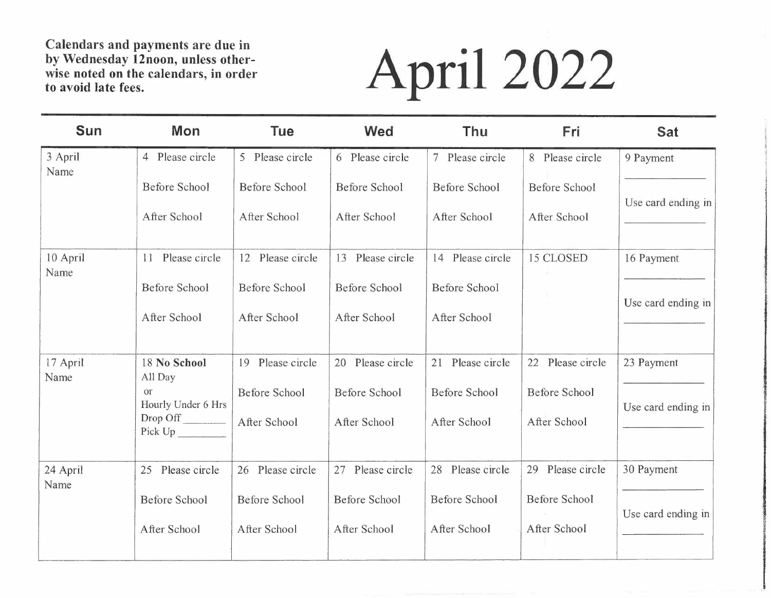# **to avoid late fees. April 2022**

| <b>Sun</b>       | Mon                             | <b>Tue</b>           | <b>Wed</b>           | <b>Thu</b>           | Fri                  | <b>Sat</b>         |
|------------------|---------------------------------|----------------------|----------------------|----------------------|----------------------|--------------------|
| 3 April<br>Name  | 4 Please circle                 | 5 Please circle      | 6 Please circle      | 7 Please circle      | 8 Please circle      | 9 Payment          |
|                  | <b>Before School</b>            | <b>Before School</b> | <b>Before School</b> | <b>Before School</b> | <b>Before School</b> | Use card ending in |
|                  | After School                    | After School         | After School         | After School         | After School         |                    |
| 10 April<br>Name | Please circle<br>11             | 12 Please circle     | 13 Please circle     | 14 Please circle     | 15 CLOSED            | 16 Payment         |
|                  | <b>Before School</b>            | <b>Before School</b> | <b>Before School</b> | <b>Before School</b> |                      | Use card ending in |
|                  | After School                    | After School         | After School         | After School         |                      |                    |
| 17 April<br>Name | 18 No School<br>All Day         | 19 Please circle     | 20 Please circle     | 21 Please circle     | 22 Please circle     | 23 Payment         |
|                  | <b>Or</b><br>Hourly Under 6 Hrs | <b>Before School</b> | Before School        | <b>Before School</b> | <b>Before School</b> | Use card ending in |
|                  | Drop Off<br>Pick Up             | After School         | After School         | After School         | After School         |                    |
| 24 April<br>Name | 25 Please circle                | 26 Please circle     | Please circle<br>27  | Please circle<br>28  | 29 Please circle     | 30 Payment         |
|                  | <b>Before School</b>            | <b>Before School</b> | <b>Before School</b> | Before School        | <b>Before School</b> | Use card ending in |
|                  | After School                    | After School         | After School         | After School         | After School         |                    |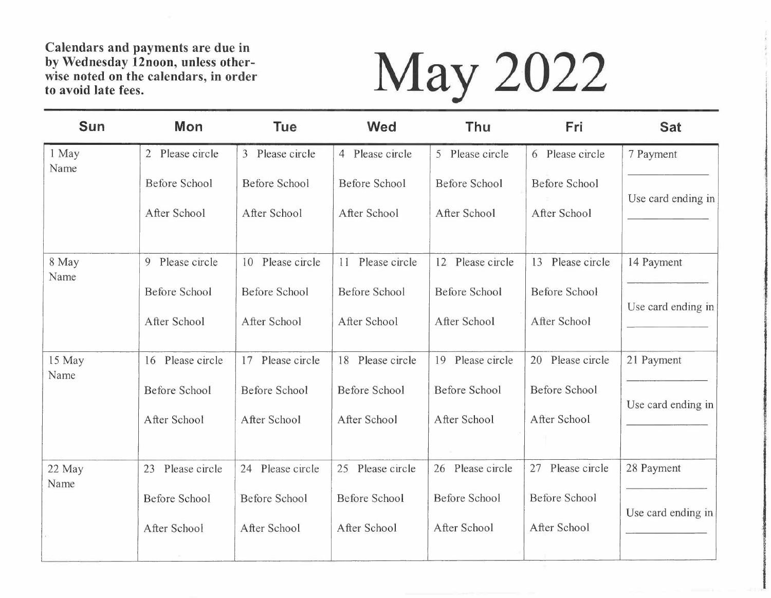# **to avoid late fees. May 2022**

| <b>Sun</b>     | Mon                             | <b>Tue</b>                           | <b>Wed</b>                           | Thu                                  | Fri                                  | <b>Sat</b>         |
|----------------|---------------------------------|--------------------------------------|--------------------------------------|--------------------------------------|--------------------------------------|--------------------|
| 1 May<br>Name  | Please circle<br>$\overline{2}$ | 3 Please circle                      | Please circle<br>$\overline{4}$      | 5 Please circle                      | 6 Please circle                      | 7 Payment          |
|                | <b>Before School</b>            | <b>Before School</b>                 | <b>Before School</b>                 | <b>Before School</b>                 | <b>Before School</b>                 | Use card ending in |
|                | After School                    | After School                         | After School                         | After School                         | After School                         |                    |
| 8 May<br>Name  | Please circle<br>9              | Please circle<br>10                  | Please circle<br>11                  | Please circle<br>12                  | Please circle<br>13                  | 14 Payment         |
|                | <b>Before School</b>            | <b>Before School</b>                 | <b>Before School</b>                 | <b>Before School</b>                 | <b>Before School</b>                 | Use card ending in |
|                | After School                    | After School                         | After School                         | After School                         | After School                         |                    |
| 15 May<br>Name | 16 Please circle                | 17 Please circle                     | Please circle<br>18                  | Please circle<br>19                  | 20 Please circle                     | 21 Payment         |
|                | <b>Before School</b>            | <b>Before School</b>                 | <b>Before School</b>                 | <b>Before School</b>                 | <b>Before School</b>                 | Use card ending in |
|                | After School                    | After School                         | After School                         | After School                         | After School                         |                    |
| 22 May<br>Name | Please circle<br>23             | 24 Please circle                     | Please circle<br>25                  | Please circle<br>26                  | Please circle<br>27                  | 28 Payment         |
|                | <b>Before School</b>            | <b>Before School</b><br>After School | <b>Before School</b><br>After School | <b>Before School</b><br>After School | <b>Before School</b><br>After School | Use card ending in |
|                | After School                    |                                      |                                      |                                      |                                      |                    |